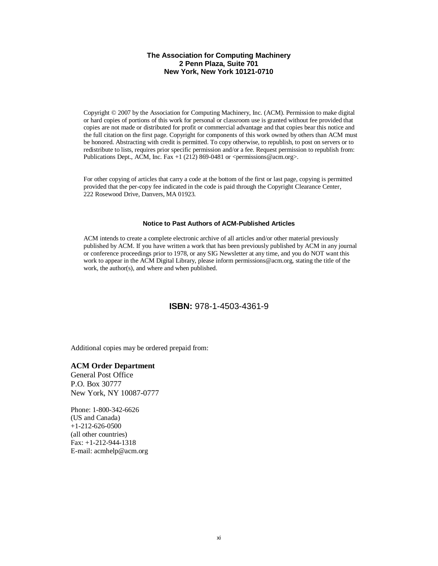#### **The Association for Computing Machinery 2 Penn Plaza, Suite 701 New York, New York 10121-0710**

Copyright © 2007 by the Association for Computing Machinery, Inc. (ACM). Permission to make digital or hard copies of portions of this work for personal or classroom use is granted without fee provided that copies are not made or distributed for profit or commercial advantage and that copies bear this notice and the full citation on the first page. Copyright for components of this work owned by others than ACM must be honored. Abstracting with credit is permitted. To copy otherwise, to republish, to post on servers or to redistribute to lists, requires prior specific permission and/or a fee. Request permission to republish from: Publications Dept., ACM, Inc. Fax +1 (212) 869-0481 or  $\leq$  permissions@acm.org>.

For other copying of articles that carry a code at the bottom of the first or last page, copying is permitted provided that the per-copy fee indicated in the code is paid through the Copyright Clearance Center, 222 Rosewood Drive, Danvers, MA 01923.

#### **Notice to Past Authors of ACM-Published Articles**

ACM intends to create a complete electronic archive of all articles and/or other material previously published by ACM. If you have written a work that has been previously published by ACM in any journal or conference proceedings prior to 1978, or any SIG Newsletter at any time, and you do NOT want this work to appear in the ACM Digital Library, please inform permissions@acm.org, stating the title of the work, the author(s), and where and when published.

### **ISBN:** 978-1-4503-4361-9

Additional copies may be ordered prepaid from:

#### **ACM Order Department**

General Post Office P.O. Box 30777 New York, NY 10087-0777

Phone: 1-800-342-6626 (US and Canada) +1-212-626-0500 (all other countries) Fax: +1-212-944-1318 E-mail: acmhelp@acm.org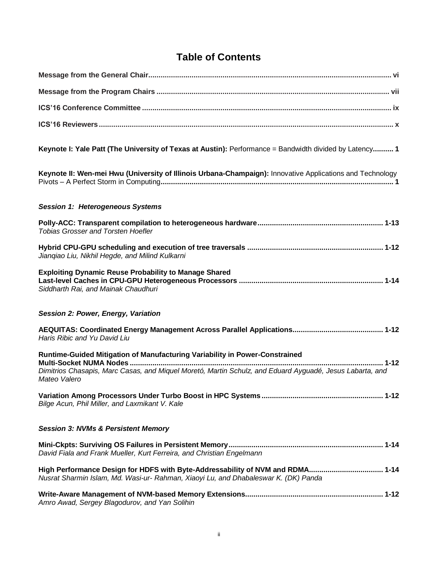## **Table of Contents**

| Keynote I: Yale Patt (The University of Texas at Austin): Performance = Bandwidth divided by Latency 1                                                                |
|-----------------------------------------------------------------------------------------------------------------------------------------------------------------------|
| Keynote II: Wen-mei Hwu (University of Illinois Urbana-Champaign): Innovative Applications and Technology                                                             |
| <b>Session 1: Heterogeneous Systems</b>                                                                                                                               |
| <b>Tobias Grosser and Torsten Hoefler</b>                                                                                                                             |
| Jiangiao Liu, Nikhil Hegde, and Milind Kulkarni                                                                                                                       |
| <b>Exploiting Dynamic Reuse Probability to Manage Shared</b><br>Siddharth Rai, and Mainak Chaudhuri                                                                   |
| Session 2: Power, Energy, Variation                                                                                                                                   |
| Haris Ribic and Yu David Liu                                                                                                                                          |
| Runtime-Guided Mitigation of Manufacturing Variability in Power-Constrained                                                                                           |
| Dimitrios Chasapis, Marc Casas, and Miquel Moretó, Martin Schulz, and Eduard Ayguadé, Jesus Labarta, and<br>Mateo Valero                                              |
| Bilge Acun, Phil Miller, and Laxmikant V. Kale                                                                                                                        |
| <b>Session 3: NVMs &amp; Persistent Memory</b>                                                                                                                        |
| David Fiala and Frank Mueller, Kurt Ferreira, and Christian Engelmann                                                                                                 |
| High Performance Design for HDFS with Byte-Addressability of NVM and RDMA 1-14<br>Nusrat Sharmin Islam, Md. Wasi-ur- Rahman, Xiaoyi Lu, and Dhabaleswar K. (DK) Panda |
| Amro Awad, Sergey Blagodurov, and Yan Solihin                                                                                                                         |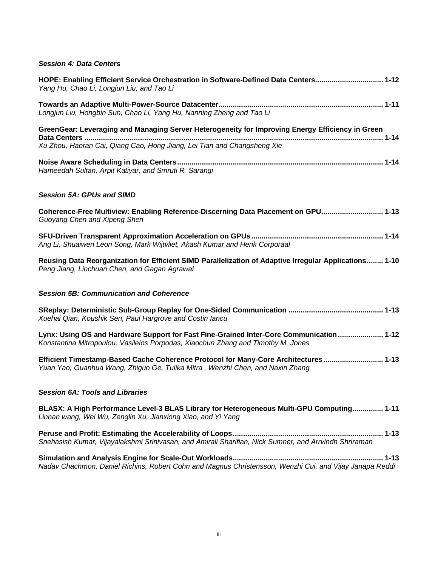### *Session 4: Data Centers*

| HOPE: Enabling Efficient Service Orchestration in Software-Defined Data Centers 1-12<br>Yang Hu, Chao Li, Longjun Liu, and Tao Li                                            |
|------------------------------------------------------------------------------------------------------------------------------------------------------------------------------|
| Longjun Liu, Hongbin Sun, Chao Li, Yang Hu, Nanning Zheng and Tao Li                                                                                                         |
| GreenGear: Leveraging and Managing Server Heterogeneity for Improving Energy Efficiency in Green<br>Xu Zhou, Haoran Cai, Qiang Cao, Hong Jiang, Lei Tian and Changsheng Xie  |
| Hameedah Sultan, Arpit Katiyar, and Smruti R. Sarangi                                                                                                                        |
| <b>Session 5A: GPUs and SIMD</b>                                                                                                                                             |
| Coherence-Free Multiview: Enabling Reference-Discerning Data Placement on GPU 1-13<br>Guoyang Chen and Xipeng Shen                                                           |
| Ang Li, Shuaiwen Leon Song, Mark Wijtvliet, Akash Kumar and Henk Corporaal                                                                                                   |
| Reusing Data Reorganization for Efficient SIMD Parallelization of Adaptive Irregular Applications 1-10<br>Peng Jiang, Linchuan Chen, and Gagan Agrawal                       |
|                                                                                                                                                                              |
| <b>Session 5B: Communication and Coherence</b>                                                                                                                               |
| Xuehai Qian, Koushik Sen, Paul Hargrove and Costin lancu                                                                                                                     |
| Lynx: Using OS and Hardware Support for Fast Fine-Grained Inter-Core Communication  1-12<br>Konstantina Mitropoulou, Vasileios Porpodas, Xiaochun Zhang and Timothy M. Jones |
| Efficient Timestamp-Based Cache Coherence Protocol for Many-Core Architectures 1-13<br>Yuan Yao, Guanhua Wang, Zhiguo Ge, Tulika Mitra, Wenzhi Chen, and Naxin Zhang         |
| <b>Session 6A: Tools and Libraries</b>                                                                                                                                       |
| BLASX: A High Performance Level-3 BLAS Library for Heterogeneous Multi-GPU Computing 1-11<br>Linnan wang, Wei Wu, Zenglin Xu, Jianxiong Xiao, and Yi Yang                    |
| Snehasish Kumar, Vijayalakshmi Srinivasan, and Amirali Sharifian, Nick Sumner, and Arrvindh Shriraman                                                                        |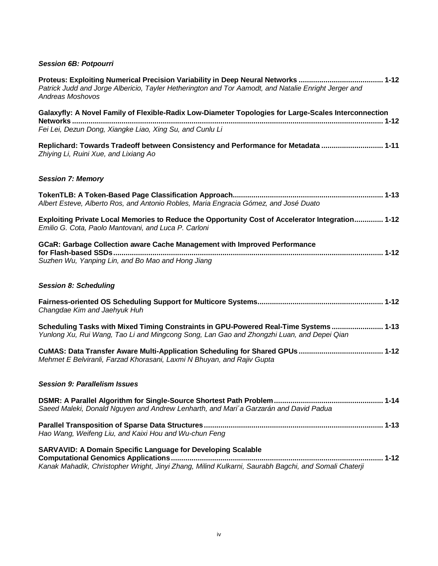## *Session 6B: Potpourri*

| Patrick Judd and Jorge Albericio, Tayler Hetherington and Tor Aamodt, and Natalie Enright Jerger and<br><b>Andreas Moshovos</b>                                                    |  |
|------------------------------------------------------------------------------------------------------------------------------------------------------------------------------------|--|
| Galaxyfly: A Novel Family of Flexible-Radix Low-Diameter Topologies for Large-Scales Interconnection                                                                               |  |
| Fei Lei, Dezun Dong, Xiangke Liao, Xing Su, and Cunlu Li                                                                                                                           |  |
| Replichard: Towards Tradeoff between Consistency and Performance for Metadata  1-11<br>Zhiying Li, Ruini Xue, and Lixiang Ao                                                       |  |
| <b>Session 7: Memory</b>                                                                                                                                                           |  |
| Albert Esteve, Alberto Ros, and Antonio Robles, Maria Engracia Gómez, and José Duato                                                                                               |  |
| Exploiting Private Local Memories to Reduce the Opportunity Cost of Accelerator Integration 1-12<br>Emilio G. Cota, Paolo Mantovani, and Luca P. Carloni                           |  |
| GCaR: Garbage Collection aware Cache Management with Improved Performance                                                                                                          |  |
| Suzhen Wu, Yanping Lin, and Bo Mao and Hong Jiang                                                                                                                                  |  |
| <b>Session 8: Scheduling</b>                                                                                                                                                       |  |
| Changdae Kim and Jaehyuk Huh                                                                                                                                                       |  |
| Scheduling Tasks with Mixed Timing Constraints in GPU-Powered Real-Time Systems  1-13<br>Yunlong Xu, Rui Wang, Tao Li and Mingcong Song, Lan Gao and Zhongzhi Luan, and Depei Qian |  |
| Mehmet E Belviranli, Farzad Khorasani, Laxmi N Bhuyan, and Rajiv Gupta                                                                                                             |  |
| <b>Session 9: Parallelism Issues</b>                                                                                                                                               |  |
| Saeed Maleki, Donald Nguyen and Andrew Lenharth, and Mari'a Garzarán and David Padua                                                                                               |  |
| Hao Wang, Weifeng Liu, and Kaixi Hou and Wu-chun Feng                                                                                                                              |  |
| <b>SARVAVID: A Domain Specific Language for Developing Scalable</b>                                                                                                                |  |
| Kanak Mahadik, Christopher Wright, Jinyi Zhang, Milind Kulkarni, Saurabh Bagchi, and Somali Chaterji                                                                               |  |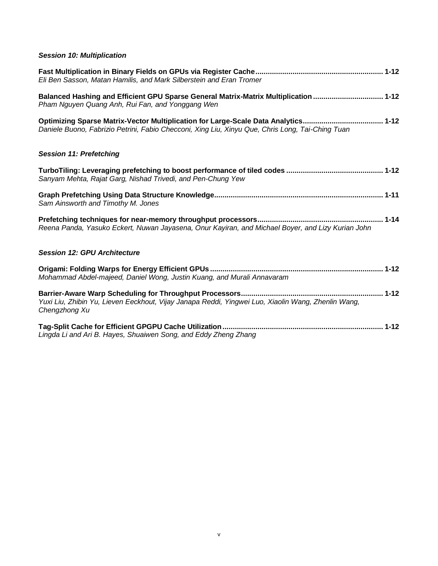## *Session 10: Multiplication*

| Eli Ben Sasson, Matan Hamilis, and Mark Silberstein and Eran Tromer                                                                                                                    |  |
|----------------------------------------------------------------------------------------------------------------------------------------------------------------------------------------|--|
| Balanced Hashing and Efficient GPU Sparse General Matrix-Matrix Multiplication  1-12<br>Pham Nguyen Quang Anh, Rui Fan, and Yonggang Wen                                               |  |
| Optimizing Sparse Matrix-Vector Multiplication for Large-Scale Data Analytics 1-12<br>Daniele Buono, Fabrizio Petrini, Fabio Checconi, Xing Liu, Xinyu Que, Chris Long, Tai-Ching Tuan |  |
| <b>Session 11: Prefetching</b>                                                                                                                                                         |  |
| Sanyam Mehta, Rajat Garg, Nishad Trivedi, and Pen-Chung Yew                                                                                                                            |  |
| Sam Ainsworth and Timothy M. Jones                                                                                                                                                     |  |
| Reena Panda, Yasuko Eckert, Nuwan Jayasena, Onur Kayiran, and Michael Boyer, and Lizy Kurian John                                                                                      |  |
| <b>Session 12: GPU Architecture</b>                                                                                                                                                    |  |
| Mohammad Abdel-majeed, Daniel Wong, Justin Kuang, and Murali Annavaram                                                                                                                 |  |
| Yuxi Liu, Zhibin Yu, Lieven Eeckhout, Vijay Janapa Reddi, Yingwei Luo, Xiaolin Wang, Zhenlin Wang,<br>Chengzhong Xu                                                                    |  |
| Lingda Li and Ari B. Hayes, Shuaiwen Song, and Eddy Zheng Zhang                                                                                                                        |  |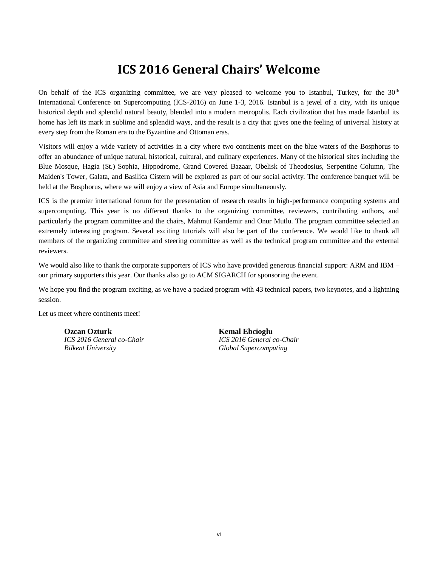# **ICS 2016 General Chairs' Welcome**

On behalf of the ICS organizing committee, we are very pleased to welcome you to Istanbul, Turkey, for the  $30<sup>th</sup>$ International Conference on Supercomputing (ICS-2016) on June 1-3, 2016. Istanbul is a jewel of a city, with its unique historical depth and splendid natural beauty, blended into a modern metropolis. Each civilization that has made Istanbul its home has left its mark in sublime and splendid ways, and the result is a city that gives one the feeling of universal history at every step from the Roman era to the Byzantine and Ottoman eras.

Visitors will enjoy a wide variety of activities in a city where two continents meet on the blue waters of the Bosphorus to offer an abundance of unique natural, historical, cultural, and culinary experiences. Many of the historical sites including the Blue Mosque, Hagia (St.) Sophia, Hippodrome, Grand Covered Bazaar, Obelisk of Theodosius, Serpentine Column, The Maiden's Tower, Galata, and Basilica Cistern will be explored as part of our social activity. The conference banquet will be held at the Bosphorus, where we will enjoy a view of Asia and Europe simultaneously.

ICS is the premier international forum for the presentation of research results in high-performance computing systems and supercomputing. This year is no different thanks to the organizing committee, reviewers, contributing authors, and particularly the program committee and the chairs, Mahmut Kandemir and Onur Mutlu. The program committee selected an extremely interesting program. Several exciting tutorials will also be part of the conference. We would like to thank all members of the organizing committee and steering committee as well as the technical program committee and the external reviewers.

We would also like to thank the corporate supporters of ICS who have provided generous financial support: ARM and IBM – our primary supporters this year. Our thanks also go to ACM SIGARCH for sponsoring the event.

We hope you find the program exciting, as we have a packed program with 43 technical papers, two keynotes, and a lightning session.

Let us meet where continents meet!

**Ozcan Ozturk Kemal Ebcioglu**<br> **CS** 2016 General co-Chair **Kemal Ebcioglu** *Bilkent University Global Supercomputing* 

*ICS 2016 General co-Chair ICS 2016 General co-Chair*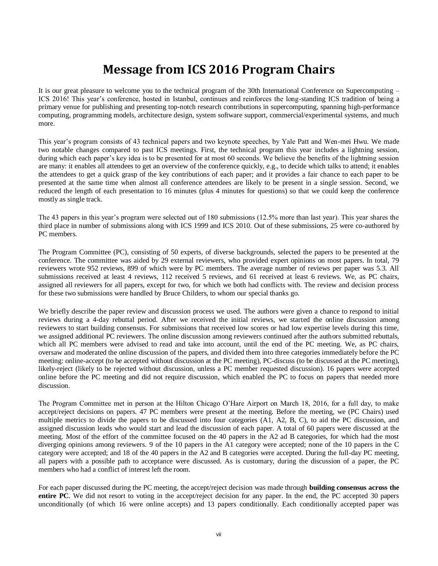# **Message from ICS 2016 Program Chairs**

It is our great pleasure to welcome you to the technical program of the 30th International Conference on Supercomputing – ICS 2016! This year's conference, hosted in Istanbul, continues and reinforces the long-standing ICS tradition of being a primary venue for publishing and presenting top-notch research contributions in supercomputing, spanning high-performance computing, programming models, architecture design, system software support, commercial/experimental systems, and much more.

This year's program consists of 43 technical papers and two keynote speeches, by Yale Patt and Wen-mei Hwu. We made two notable changes compared to past ICS meetings. First, the technical program this year includes a lightning session, during which each paper's key idea is to be presented for at most 60 seconds. We believe the benefits of the lightning session are many: it enables all attendees to get an overview of the conference quickly, e.g., to decide which talks to attend; it enables the attendees to get a quick grasp of the key contributions of each paper; and it provides a fair chance to each paper to be presented at the same time when almost all conference attendees are likely to be present in a single session. Second, we reduced the length of each presentation to 16 minutes (plus 4 minutes for questions) so that we could keep the conference mostly as single track.

The 43 papers in this year's program were selected out of 180 submissions (12.5% more than last year). This year shares the third place in number of submissions along with ICS 1999 and ICS 2010. Out of these submissions, 25 were co-authored by PC members.

The Program Committee (PC), consisting of 50 experts, of diverse backgrounds, selected the papers to be presented at the conference. The committee was aided by 29 external reviewers, who provided expert opinions on most papers. In total, 79 reviewers wrote 952 reviews, 899 of which were by PC members. The average number of reviews per paper was 5.3. All submissions received at least 4 reviews, 112 received 5 reviews, and 61 received at least 6 reviews. We, as PC chairs, assigned all reviewers for all papers, except for two, for which we both had conflicts with. The review and decision process for these two submissions were handled by Bruce Childers, to whom our special thanks go.

We briefly describe the paper review and discussion process we used. The authors were given a chance to respond to initial reviews during a 4-day rebuttal period. After we received the initial reviews, we started the online discussion among reviewers to start building consensus. For submissions that received low scores or had low expertise levels during this time, we assigned additional PC reviewers. The online discussion among reviewers continued after the authors submitted rebuttals, which all PC members were advised to read and take into account, until the end of the PC meeting. We, as PC chairs, oversaw and moderated the online discussion of the papers, and divided them into three categories immediately before the PC meeting: online-accept (to be accepted without discussion at the PC meeting), PC-discuss (to be discussed at the PC meeting), likely-reject (likely to be rejected without discussion, unless a PC member requested discussion). 16 papers were accepted online before the PC meeting and did not require discussion, which enabled the PC to focus on papers that needed more discussion.

The Program Committee met in person at the Hilton Chicago O'Hare Airport on March 18, 2016, for a full day, to make accept/reject decisions on papers. 47 PC members were present at the meeting. Before the meeting, we (PC Chairs) used multiple metrics to divide the papers to be discussed into four categories (A1, A2, B, C), to aid the PC discussion, and assigned discussion leads who would start and lead the discussion of each paper. A total of 60 papers were discussed at the meeting. Most of the effort of the committee focused on the 40 papers in the A2 ad B categories, for which had the most diverging opinions among reviewers. 9 of the 10 papers in the A1 category were accepted; none of the 10 papers in the C category were accepted; and 18 of the 40 papers in the A2 and B categories were accepted. During the full-day PC meeting, all papers with a possible path to acceptance were discussed. As is customary, during the discussion of a paper, the PC members who had a conflict of interest left the room.

For each paper discussed during the PC meeting, the accept/reject decision was made through **building consensus across the entire PC**. We did not resort to voting in the accept/reject decision for any paper. In the end, the PC accepted 30 papers unconditionally (of which 16 were online accepts) and 13 papers conditionally. Each conditionally accepted paper was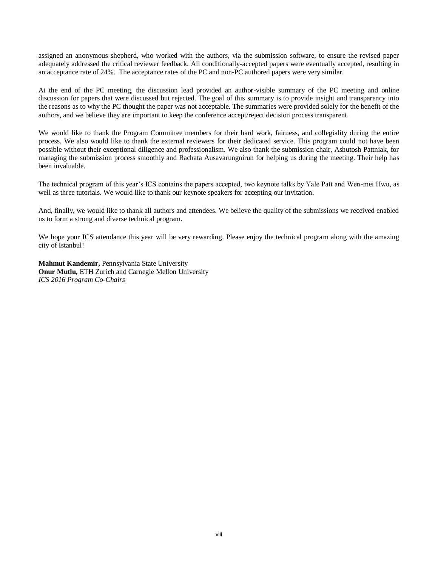assigned an anonymous shepherd, who worked with the authors, via the submission software, to ensure the revised paper adequately addressed the critical reviewer feedback. All conditionally-accepted papers were eventually accepted, resulting in an acceptance rate of 24%. The acceptance rates of the PC and non-PC authored papers were very similar.

At the end of the PC meeting, the discussion lead provided an author-visible summary of the PC meeting and online discussion for papers that were discussed but rejected. The goal of this summary is to provide insight and transparency into the reasons as to why the PC thought the paper was not acceptable. The summaries were provided solely for the benefit of the authors, and we believe they are important to keep the conference accept/reject decision process transparent.

We would like to thank the Program Committee members for their hard work, fairness, and collegiality during the entire process. We also would like to thank the external reviewers for their dedicated service. This program could not have been possible without their exceptional diligence and professionalism. We also thank the submission chair, Ashutosh Pattniak, for managing the submission process smoothly and Rachata Ausavarungnirun for helping us during the meeting. Their help has been invaluable.

The technical program of this year's ICS contains the papers accepted, two keynote talks by Yale Patt and Wen-mei Hwu, as well as three tutorials. We would like to thank our keynote speakers for accepting our invitation.

And, finally, we would like to thank all authors and attendees. We believe the quality of the submissions we received enabled us to form a strong and diverse technical program.

We hope your ICS attendance this year will be very rewarding. Please enjoy the technical program along with the amazing city of Istanbul!

**Mahmut Kandemir,** Pennsylvania State University **Onur Mutlu,** ETH Zurich and Carnegie Mellon University *ICS 2016 Program Co-Chairs*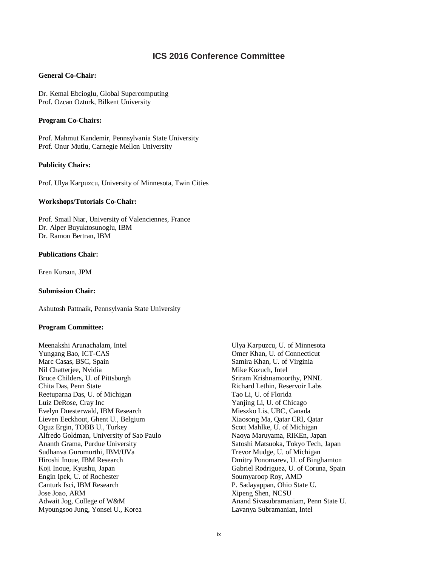## **ICS 2016 Conference Committee**

#### **General Co-Chair:**

Dr. Kemal Ebcioglu, Global Supercomputing Prof. Ozcan Ozturk, Bilkent University

#### **Program Co-Chairs:**

Prof. Mahmut Kandemir, Pennsylvania State University Prof. Onur Mutlu, Carnegie Mellon University

#### **Publicity Chairs:**

Prof. Ulya Karpuzcu, University of Minnesota, Twin Cities

#### **Workshops/Tutorials Co-Chair:**

Prof. Smail Niar, University of Valenciennes, France Dr. Alper Buyuktosunoglu, IBM Dr. Ramon Bertran, IBM

#### **Publications Chair:**

Eren Kursun, JPM

#### **Submission Chair:**

Ashutosh Pattnaik, Pennsylvania State University

#### **Program Committee:**

Meenakshi Arunachalam, Intel Yungang Bao, ICT-CAS Marc Casas, BSC, Spain Nil Chatterjee, Nvidia Bruce Childers, U. of Pittsburgh Chita Das, Penn State Reetuparna Das, U. of Michigan Luiz DeRose, Cray Inc Evelyn Duesterwald, IBM Research Lieven Eeckhout, Ghent U., Belgium Oguz Ergin, TOBB U., Turkey Alfredo Goldman, University of Sao Paulo Ananth Grama, Purdue University Sudhanva Gurumurthi, IBM/UVa Hiroshi Inoue, IBM Research Koji Inoue, Kyushu, Japan Engin Ipek, U. of Rochester Canturk Isci, IBM Research Jose Joao, ARM Adwait Jog, College of W&M Myoungsoo Jung, Yonsei U., Korea

Ulya Karpuzcu, U. of Minnesota Omer Khan, U. of Connecticut Samira Khan, U. of Virginia Mike Kozuch, Intel Sriram Krishnamoorthy, PNNL Richard Lethin, Reservoir Labs Tao Li, U. of Florida Yanjing Li, U. of Chicago Mieszko Lis, UBC, Canada Xiaosong Ma, Qatar CRI, Qatar Scott Mahlke, U. of Michigan Naoya Maruyama, RIKEn, Japan Satoshi Matsuoka, Tokyo Tech, Japan Trevor Mudge, U. of Michigan Dmitry Ponomarev, U. of Binghamton Gabriel Rodriguez, U. of Coruna, Spain Soumyaroop Roy, AMD P. Sadayappan, Ohio State U. Xipeng Shen, NCSU Anand Sivasubramaniam, Penn State U. Lavanya Subramanian, Intel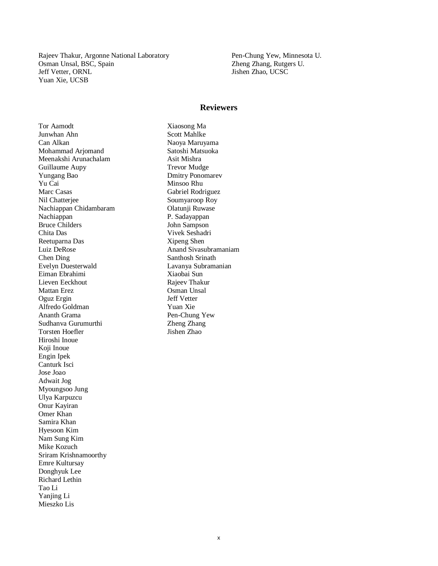Rajeev Thakur, Argonne National Laboratory Osman Unsal, BSC, Spain Jeff Vetter, ORNL Yuan Xie, UCSB

Pen-Chung Yew, Minnesota U. Zheng Zhang, Rutgers U. Jishen Zhao, UCSC

#### **Reviewers**

Tor Aamodt Junwhan Ahn Can Alkan Mohammad Arjomand Meenakshi Arunachalam Guillaume Aupy Yungang Bao Yu Cai Marc Casas Nil Chatterjee Nachiappan Chidambaram Nachiappan Bruce Childers Chita Das Reetuparna Das Luiz DeRose Chen Ding Evelyn Duesterwald Eiman Ebrahimi Lieven Eeckhout Mattan Erez Oguz Ergin Alfredo Goldman Ananth Grama Sudhanva Gurumurthi Torsten Hoefler Hiroshi Inoue Koji Inoue Engin Ipek Canturk Isci Jose Joao Adwait Jog Myoungsoo Jung Ulya Karpuzcu Onur Kayiran Omer Khan Samira Khan Hyesoon Kim Nam Sung Kim Mike Kozuch Sriram Krishnamoorthy Emre Kultursay Donghyuk Lee Richard Lethin Tao Li Yanjing Li Mieszko Lis

Xiaosong Ma Scott Mahlke Naoya Maruyama Satoshi Matsuoka Asit Mishra Trevor Mudge Dmitry Ponomarev Minsoo Rhu Gabriel Rodriguez Soumyaroop Roy Olatunji Ruwase P. Sadayappan John Sampson Vivek Seshadri Xipeng Shen Anand Sivasubramaniam Santhosh Srinath Lavanya Subramanian Xiaobai Sun Rajeev Thakur Osman Unsal Jeff Vetter Yuan Xie Pen-Chung Yew Zheng Zhang Jishen Zhao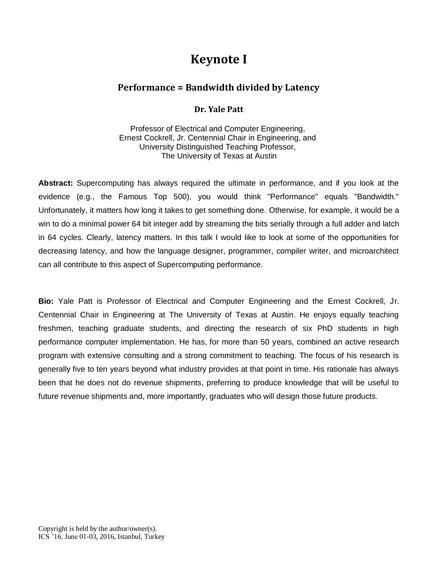# **Keynote I**

## **Performance = Bandwidth divided by Latency**

## **Dr. Yale Patt**

Professor of Electrical and Computer Engineering, Ernest Cockrell, Jr. Centennial Chair in Engineering, and University Distinguished Teaching Professor, The University of Texas at Austin

**Abstract:** Supercomputing has always required the ultimate in performance, and if you look at the evidence (e.g., the Famous Top 500), you would think "Performance" equals "Bandwidth." Unfortunately, it matters how long it takes to get something done. Otherwise, for example, it would be a win to do a minimal power 64 bit integer add by streaming the bits serially through a full adder and latch in 64 cycles. Clearly, latency matters. In this talk I would like to look at some of the opportunities for decreasing latency, and how the language designer, programmer, compiler writer, and microarchitect can all contribute to this aspect of Supercomputing performance.

**Bio:** Yale Patt is Professor of Electrical and Computer Engineering and the Ernest Cockrell, Jr. Centennial Chair in Engineering at The University of Texas at Austin. He enjoys equally teaching freshmen, teaching graduate students, and directing the research of six PhD students in high performance computer implementation. He has, for more than 50 years, combined an active research program with extensive consulting and a strong commitment to teaching. The focus of his research is generally five to ten years beyond what industry provides at that point in time. His rationale has always been that he does not do revenue shipments, preferring to produce knowledge that will be useful to future revenue shipments and, more importantly, graduates who will design those future products.